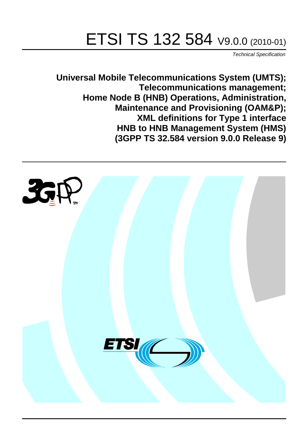# ETSI TS 132 584 V9.0.0 (2010-01)

*Technical Specification*

**Universal Mobile Telecommunications System (UMTS); Telecommunications management; Home Node B (HNB) Operations, Administration, Maintenance and Provisioning (OAM&P); XML definitions for Type 1 interface HNB to HNB Management System (HMS) (3GPP TS 32.584 version 9.0.0 Release 9)**

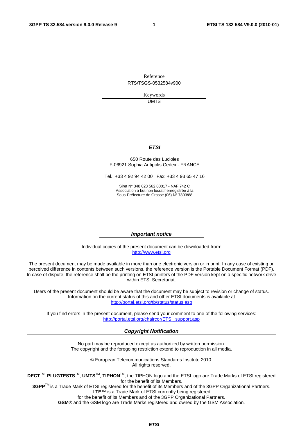Reference RTS/TSGS-0532584v900

> Keywords UMTS

#### *ETSI*

#### 650 Route des Lucioles F-06921 Sophia Antipolis Cedex - FRANCE

Tel.: +33 4 92 94 42 00 Fax: +33 4 93 65 47 16

Siret N° 348 623 562 00017 - NAF 742 C Association à but non lucratif enregistrée à la Sous-Préfecture de Grasse (06) N° 7803/88

#### *Important notice*

Individual copies of the present document can be downloaded from: [http://www.etsi.org](http://www.etsi.org/)

The present document may be made available in more than one electronic version or in print. In any case of existing or perceived difference in contents between such versions, the reference version is the Portable Document Format (PDF). In case of dispute, the reference shall be the printing on ETSI printers of the PDF version kept on a specific network drive within ETSI Secretariat.

Users of the present document should be aware that the document may be subject to revision or change of status. Information on the current status of this and other ETSI documents is available at <http://portal.etsi.org/tb/status/status.asp>

If you find errors in the present document, please send your comment to one of the following services: [http://portal.etsi.org/chaircor/ETSI\\_support.asp](http://portal.etsi.org/chaircor/ETSI_support.asp)

#### *Copyright Notification*

No part may be reproduced except as authorized by written permission. The copyright and the foregoing restriction extend to reproduction in all media.

> © European Telecommunications Standards Institute 2010. All rights reserved.

**DECT**TM, **PLUGTESTS**TM, **UMTS**TM, **TIPHON**TM, the TIPHON logo and the ETSI logo are Trade Marks of ETSI registered for the benefit of its Members.

**3GPP**TM is a Trade Mark of ETSI registered for the benefit of its Members and of the 3GPP Organizational Partners. **LTE**™ is a Trade Mark of ETSI currently being registered

for the benefit of its Members and of the 3GPP Organizational Partners.

**GSM**® and the GSM logo are Trade Marks registered and owned by the GSM Association.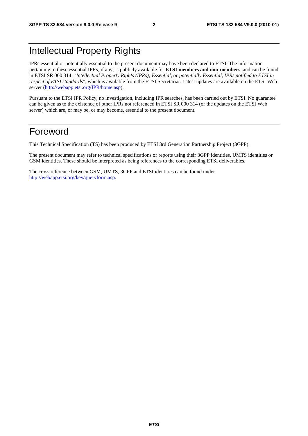### Intellectual Property Rights

IPRs essential or potentially essential to the present document may have been declared to ETSI. The information pertaining to these essential IPRs, if any, is publicly available for **ETSI members and non-members**, and can be found in ETSI SR 000 314: *"Intellectual Property Rights (IPRs); Essential, or potentially Essential, IPRs notified to ETSI in respect of ETSI standards"*, which is available from the ETSI Secretariat. Latest updates are available on the ETSI Web server ([http://webapp.etsi.org/IPR/home.asp\)](http://webapp.etsi.org/IPR/home.asp).

Pursuant to the ETSI IPR Policy, no investigation, including IPR searches, has been carried out by ETSI. No guarantee can be given as to the existence of other IPRs not referenced in ETSI SR 000 314 (or the updates on the ETSI Web server) which are, or may be, or may become, essential to the present document.

### Foreword

This Technical Specification (TS) has been produced by ETSI 3rd Generation Partnership Project (3GPP).

The present document may refer to technical specifications or reports using their 3GPP identities, UMTS identities or GSM identities. These should be interpreted as being references to the corresponding ETSI deliverables.

The cross reference between GSM, UMTS, 3GPP and ETSI identities can be found under [http://webapp.etsi.org/key/queryform.asp.](http://webapp.etsi.org/key/queryform.asp)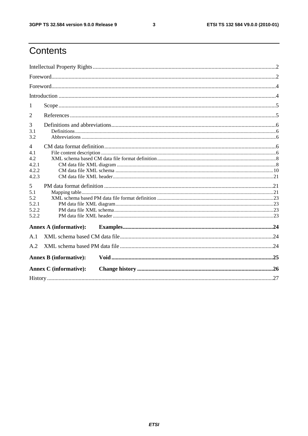$\mathbf{3}$ 

## Contents

| 1              |                               |  |
|----------------|-------------------------------|--|
| 2              |                               |  |
| 3              |                               |  |
| 3.1<br>3.2     |                               |  |
| $\overline{4}$ |                               |  |
| 4.1            |                               |  |
| 4.2            |                               |  |
| 4.2.1          |                               |  |
| 4.2.2          |                               |  |
| 4.2.3          |                               |  |
| 5              |                               |  |
| 5.1            |                               |  |
| 5.2            |                               |  |
| 5.2.1          |                               |  |
| 5.2.2          |                               |  |
| 5.2.2          |                               |  |
|                | <b>Annex A (informative):</b> |  |
| A.1            |                               |  |
| A.2            |                               |  |
|                | <b>Annex B</b> (informative): |  |
|                | <b>Annex C</b> (informative): |  |
|                |                               |  |
|                |                               |  |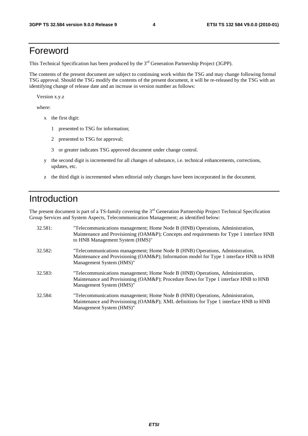### Foreword

This Technical Specification has been produced by the 3<sup>rd</sup> Generation Partnership Project (3GPP).

The contents of the present document are subject to continuing work within the TSG and may change following formal TSG approval. Should the TSG modify the contents of the present document, it will be re-released by the TSG with an identifying change of release date and an increase in version number as follows:

Version x.y.z

where:

- x the first digit:
	- 1 presented to TSG for information;
	- 2 presented to TSG for approval;
	- 3 or greater indicates TSG approved document under change control.
- y the second digit is incremented for all changes of substance, i.e. technical enhancements, corrections, updates, etc.
- z the third digit is incremented when editorial only changes have been incorporated in the document.

### Introduction

The present document is part of a TS-family covering the 3<sup>rd</sup> Generation Partnership Project Technical Specification Group Services and System Aspects, Telecommunication Management; as identified below:

| 32.581: | "Telecommunications management; Home Node B (HNB) Operations, Administration,<br>Maintenance and Provisioning (OAM&P); Concepts and requirements for Type 1 interface HNB<br>to HNB Management System (HMS)" |
|---------|--------------------------------------------------------------------------------------------------------------------------------------------------------------------------------------------------------------|
| 32.582: | "Telecommunications management; Home Node B (HNB) Operations, Administration,<br>Maintenance and Provisioning (OAM&P); Information model for Type 1 interface HNB to HNB<br>Management System (HMS)"         |
| 32.583: | "Telecommunications management; Home Node B (HNB) Operations, Administration,<br>Maintenance and Provisioning (OAM&P); Procedure flows for Type 1 interface HNB to HNB<br>Management System (HMS)"           |
| 32.584: | "Telecommunications management; Home Node B (HNB) Operations, Administration,<br>Maintenance and Provisioning (OAM&P); XML definitions for Type 1 interface HNB to HNB<br>Management System (HMS)"           |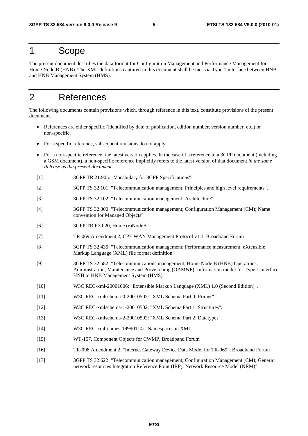### 1 Scope

The present document describes the data format for Configuration Management and Performance Management for Home Node B (HNB). The XML definitions captured in this document shall be met via Type 1 interface between HNB and HNB Management System (HMS).

### 2 References

The following documents contain provisions which, through reference in this text, constitute provisions of the present document.

- References are either specific (identified by date of publication, edition number, version number, etc.) or non-specific.
- For a specific reference, subsequent revisions do not apply.
- For a non-specific reference, the latest version applies. In the case of a reference to a 3GPP document (including a GSM document), a non-specific reference implicitly refers to the latest version of that document *in the same Release as the present document*.
- [1] 3GPP TR 21.905: "Vocabulary for 3GPP Specifications".
- [2] 3GPP TS 32.101: "Telecommunication management; Principles and high level requirements".
- [3] 3GPP TS 32.102: "Telecommunication management; Architecture".
- [4] 3GPP TS 32.300: "Telecommunication management; Configuration Management (CM); Name convention for Managed Objects".
- [6] 3GPP TR R3.020, Home (e)NodeB
- [7] TR-069 Amendment 2, CPE WAN Management Protocol v1.1, Broadband Forum
- [8] 3GPP TS 32.435: "Telecommunication management; Performance measurement: eXtensible Markup Language (XML) file format definition"
- [9] 3GPP TS 32.582: "Telecommunications management; Home Node B (HNB) Operations, Administration, Maintenance and Provisioning (OAM&P); Information model for Type 1 interface HNB to HNB Management System (HMS)"
- [10] W3C REC-xml-20001006: "Extensible Markup Language (XML) 1.0 (Second Edition)".
- [11] W3C REC-xmlschema-0-20010502: "XML Schema Part 0: Primer".
- [12] W3C REC-xmlschema-1-20010502: "XML Schema Part 1: Structures".
- [13] W3C REC-xmlschema-2-20010502: "XML Schema Part 2: Datatypes".
- [14] W3C REC-xml-names-19990114: "Namespaces in XML".
- [15] WT-157, Component Objects for CWMP, Broadband Forum
- [16] TR-098 Amendment 2, "Internet Gateway Device Data Model for TR-069", Broadband Forum
- [17] 3GPP TS 32.622: "Telecommunication management; Configuration Management (CM); Generic network resources Integration Reference Point (IRP): Network Resource Model (NRM)"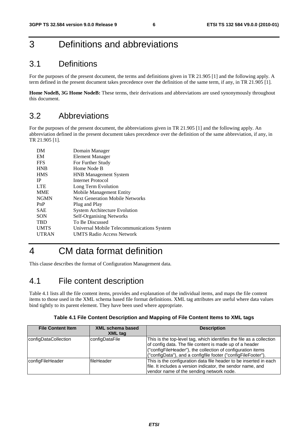### 3 Definitions and abbreviations

### 3.1 Definitions

For the purposes of the present document, the terms and definitions given in TR 21.905 [1] and the following apply. A term defined in the present document takes precedence over the definition of the same term, if any, in TR 21.905 [1].

**Home NodeB, 3G Home NodeB:** These terms, their derivations and abbreviations are used synonymously throughout this document.

### 3.2 Abbreviations

For the purposes of the present document, the abbreviations given in TR 21.905 [1] and the following apply. An abbreviation defined in the present document takes precedence over the definition of the same abbreviation, if any, in TR 21.905 [1].

| DM           | Domain Manager                             |
|--------------|--------------------------------------------|
| EM           | Element Manager                            |
| <b>FFS</b>   | For Further Study                          |
| <b>HNB</b>   | Home Node B                                |
| <b>HMS</b>   | <b>HNB</b> Management System               |
| IP           | Internet Protocol                          |
| <b>LTE</b>   | Long Term Evolution                        |
| <b>MME</b>   | Mobile Management Entity                   |
| <b>NGMN</b>  | <b>Next Generation Mobile Networks</b>     |
| PnP          | Plug and Play                              |
| <b>SAE</b>   | <b>System Architecture Evolution</b>       |
| <b>SON</b>   | <b>Self-Organising Networks</b>            |
| <b>TBD</b>   | To Be Discussed                            |
| <b>UMTS</b>  | Universal Mobile Telecommunications System |
| <b>UTRAN</b> | <b>UMTS Radio Access Network</b>           |

### 4 CM data format definition

This clause describes the format of Configuration Management data.

### 4.1 File content description

Table 4.1 lists all the file content items, provides and explanation of the individual items, and maps the file content items to those used in the XML schema based file format definitions. XML tag attributes are useful where data values bind tightly to its parent element. They have been used where appropriate.

| Table 4.1 File Content Description and Mapping of File Content Items to XML tags |  |  |
|----------------------------------------------------------------------------------|--|--|
|----------------------------------------------------------------------------------|--|--|

| <b>File Content Item</b> | XML schema based<br>XML tag | <b>Description</b>                                                                                                                                                                                                                                              |
|--------------------------|-----------------------------|-----------------------------------------------------------------------------------------------------------------------------------------------------------------------------------------------------------------------------------------------------------------|
| configDataCollection     | configDataFile              | This is the top-level tag, which identifies the file as a collection<br>of config data. The file content is made up of a header<br>("configFileHeader"), the collection of configuration items<br>("configData"), and a configfile footer ("configFileFooter"). |
| configFileHeader         | fileHeader                  | This is the configuration data file header to be inserted in each<br>file. It includes a version indicator, the sendor name, and<br>vendor name of the sending network node.                                                                                    |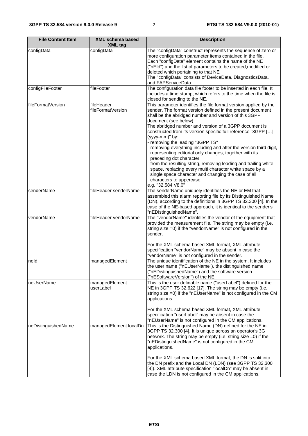| <b>File Content Item</b> | <b>XML schema based</b><br><b>XML tag</b> | <b>Description</b>                                                                                                                                                                                                                                                                                                                                                                                                                                                                                                                                                                                                                                                                                                                                                                                |
|--------------------------|-------------------------------------------|---------------------------------------------------------------------------------------------------------------------------------------------------------------------------------------------------------------------------------------------------------------------------------------------------------------------------------------------------------------------------------------------------------------------------------------------------------------------------------------------------------------------------------------------------------------------------------------------------------------------------------------------------------------------------------------------------------------------------------------------------------------------------------------------------|
| configData               | configData                                | The "configData" construct represents the sequence of zero or<br>more configuration parameter items contained in the file.<br>Each "configData" element contains the name of the NE<br>("nEId") and the list of parameters to be created, modified or<br>deleted which pertaining to that NE<br>The "configData" consists of DeviceData, DiagnosticsData,<br>and FAPServiceData                                                                                                                                                                                                                                                                                                                                                                                                                   |
| configFileFooter         | fileFooter                                | The configuration data file footer to be inserted in each file. It<br>includes a time stamp, which refers to the time when the file is<br>closed for sending to the NE.                                                                                                                                                                                                                                                                                                                                                                                                                                                                                                                                                                                                                           |
| fileFormatVersion        | fileHeader<br>fileFormatVersion           | This parameter identifies the file format version applied by the<br>sender. The format version defined in the present document<br>shall be the abridged number and version of this 3GPP<br>document (see below).<br>The abridged number and version of a 3GPP document is<br>constructed from its version specific full reference "3GPP []<br>(yyyy-mm)" by:<br>- removing the leading "3GPP TS"<br>- removing everything including and after the version third digit,<br>representing editorial only changes, together with its<br>preceding dot character<br>from the resulting string, removing leading and trailing white<br>space, replacing every multi character white space by a<br>single space character and changing the case of all<br>characters to uppercase.<br>e.g. "32.584 V8.0" |
| senderName               | fileHeader senderName                     | The senderName uniquely identifies the NE or EM that<br>assembled this alarm reporting file by its Distinguished Name<br>(DN), according to the definitions in 3GPP TS 32.300 [4]. In the<br>case of the NE-based approach, it is identical to the sender's<br>"nEDistinguishedName".                                                                                                                                                                                                                                                                                                                                                                                                                                                                                                             |
| vendorName               | fileHeader vendorName                     | The "vendorName" identifies the vendor of the equipment that<br>provided the measurement file. The string may be empty (i.e.<br>string size =0) if the "vendorName" is not configured in the<br>sender.<br>For the XML schema based XML format, XML attribute<br>specification "vendorName" may be absent in case the<br>"vendorName" is not configured in the sender.                                                                                                                                                                                                                                                                                                                                                                                                                            |
| neld                     | managedElement                            | The unique identification of the NE in the system. It includes<br>the user name ("nEUserName"), the distinguished name<br>("nEDistinguishedName") and the software version<br>("nESoftwareVersion") of the NE.                                                                                                                                                                                                                                                                                                                                                                                                                                                                                                                                                                                    |
| neUserName               | managedElement<br>userLabel               | This is the user definable name ("userLabel") defined for the<br>NE in 3GPP TS 32.622 [17]. The string may be empty (i.e.<br>string size =0) if the "nEUserName" is not configured in the CM<br>applications.<br>For the XML schema based XML format, XML attribute<br>specification "userLabel" may be absent in case the<br>"nEUserName" is not configured in the CM applications.                                                                                                                                                                                                                                                                                                                                                                                                              |
| neDistinguishedName      | managedElement localDn                    | This is the Distinguished Name (DN) defined for the NE in<br>3GPP TS 32.300 [4]. It is unique across an operator's 3G<br>network. The string may be empty (i.e. string size =0) if the<br>"nEDistinguishedName" is not configured in the CM<br>applications.<br>For the XML schema based XML format, the DN is split into<br>the DN prefix and the Local DN (LDN) (see 3GPP TS 32.300<br>[4]). XML attribute specification "localDn" may be absent in<br>case the LDN is not configured in the CM applications.                                                                                                                                                                                                                                                                                   |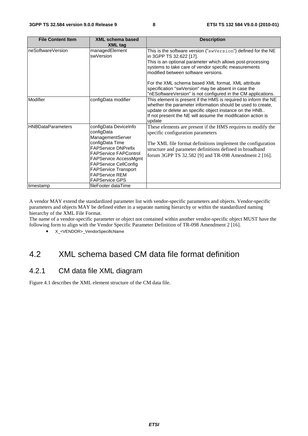| <b>File Content Item</b> | XML schema based<br><b>XML tag</b>                                                                                                                                                                                                                                                 | <b>Description</b>                                                                                                                                                                                                                                                                                                                                                                                                                  |
|--------------------------|------------------------------------------------------------------------------------------------------------------------------------------------------------------------------------------------------------------------------------------------------------------------------------|-------------------------------------------------------------------------------------------------------------------------------------------------------------------------------------------------------------------------------------------------------------------------------------------------------------------------------------------------------------------------------------------------------------------------------------|
| neSoftwareVersion        | managedElement<br>swVersion                                                                                                                                                                                                                                                        | This is the software version ("swVersion") defined for the NE<br>in 3GPP TS 32.622 [17].<br>This is an optional parameter which allows post-processing<br>systems to take care of vendor specific measurements<br>modified between software versions.<br>For the XML schema based XML format, XML attribute<br>specification "swVersion" may be absent in case the<br>"nESoftwareVersion" is not configured in the CM applications. |
| Modifier                 | configData modifier                                                                                                                                                                                                                                                                | This element is present if the HMS is required to inform the NE<br>whether the parameter information should be used to create,<br>update or delete an specific object instance on the HNB<br>If not present the NE will assume the modification action is<br>update                                                                                                                                                                 |
| <b>HNBDataParameters</b> | configData DeviceInfo<br>configData<br>ManagementServer<br>configData Time<br><b>FAPService DNPrefix</b><br><b>FAPService FAPControl</b><br>FAPService AccessMgmt<br><b>FAPService CellConfig</b><br><b>FAPService Transport</b><br><b>FAPService REM</b><br><b>FAPService GPS</b> | These elements are present if the HMS requires to modify the<br>specific configuration parameters<br>The XML file format definitions implement the configuration<br>structure and parameter definitions defined in broadband<br>forum 3GPP TS 32.582 [9] and TR-098 Amendment 2 [16].                                                                                                                                               |
| timestamp                | fileFooter dataTime                                                                                                                                                                                                                                                                |                                                                                                                                                                                                                                                                                                                                                                                                                                     |

A vendor MAY extend the standardized parameter list with vendor-specific parameters and objects. Vendor-specific parameters and objects MAY be defined either in a separate naming hierarchy or within the standardized naming hierarchy of the XML File Format.

The name of a vendor-specific parameter or object not contained within another vendor-specific object MUST have the following form to align with the Vendor Specific Parameter Definition of TR-098 Amendment 2 [16].

• X <VENDOR> VendorSpecificName

### 4.2 XML schema based CM data file format definition

### 4.2.1 CM data file XML diagram

Figure 4.1 describes the XML element structure of the CM data file.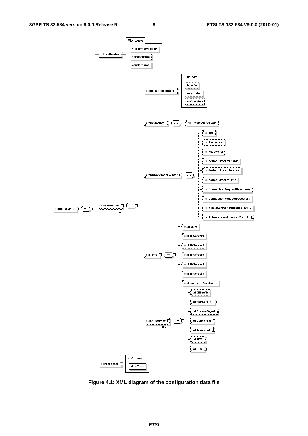

**Figure 4.1: XML diagram of the configuration data file**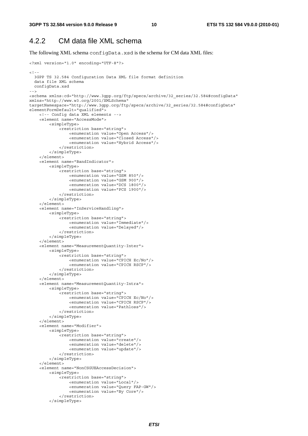#### 4.2.2 CM data file XML schema

The following XML schema configData.xsd is the schema for CM data XML files:

```
<?xml version="1.0" encoding="UTF-8"?> 
<! - -
   3GPP TS 32.584 Configuration Data XML file format definition 
   data file XML schema 
  configData.xsd 
--> 
<schema xmlns:cd="http://www.3gpp.org/ftp/specs/archive/32_series/32.584#configData" 
xmlns="http://www.w3.org/2001/XMLSchema" 
targetNamespace="http://www.3gpp.org/ftp/specs/archive/32_series/32.584#configData" 
elementFormDefault="qualified"> 
     <!-- Config data XML elements --> 
     <element name="AccessMode"> 
         <simpleType> 
              <restriction base="string"> 
                  <enumeration value="Open Access"/> 
                  <enumeration value="Closed Access"/> 
                  <enumeration value="Hybrid Access"/> 
              </restriction> 
         </simpleType> 
     </element> 
     <element name="BandIndicator"> 
         <simpleType> 
              <restriction base="string"> 
                  <enumeration value="GSM 850"/> 
                  <enumeration value="GSM 900"/> 
                  <enumeration value="DCS 1800"/> 
                  <enumeration value="PCS 1900"/> 
              </restriction> 
         </simpleType> 
     </element> 
     <element name="InServiceHandling"> 
         <simpleType> 
              <restriction base="string"> 
                  <enumeration value="Immediate"/> 
                  <enumeration value="Delayed"/> 
              </restriction> 
         </simpleType> 
     </element> 
     <element name="MeasurementQuantity-Inter"> 
         <simpleType> 
              <restriction base="string"> 
                  <enumeration value="CPICH Ec/No"/> 
                  <enumeration value="CPICH RSCP"/> 
              </restriction> 
          </simpleType> 
     </element> 
     <element name="MeasurementQuantity-Intra"> 
         <simpleType> 
              <restriction base="string"> 
                  <enumeration value="CPICH Ec/No"/> 
                  <enumeration value="CPICH RSCP"/> 
                  <enumeration value="Pathloss"/> 
              </restriction> 
         </simpleType> 
     </element> 
     <element name="Modifier"> 
         <simpleType> 
              <restriction base="string"> 
                  <enumeration value="create"/> 
                  <enumeration value="delete"/> 
                  <enumeration value="update"/> 
              </restriction> 
          </simpleType> 
     </element> 
     <element name="NonCSGUEAccessDecision"> 
         <simpleType> 
              <restriction base="string"> 
                  <enumeration value="Local"/> 
                  <enumeration value="Query FAP-GW"/> 
                  <enumeration value="By Core"/> 
              </restriction> 
          </simpleType>
```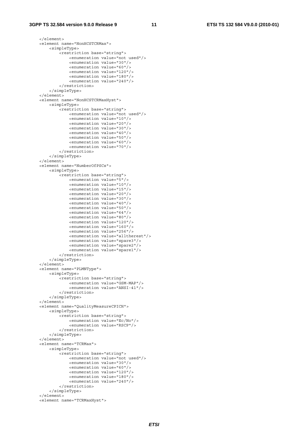#### **3GPP TS 32.584 version 9.0.0 Release 9 11 ETSI TS 132 584 V9.0.0 (2010-01)**

```
 </element> 
 <element name="NonHCSTCRMax"> 
     <simpleType> 
         <restriction base="string"> 
              <enumeration value="not used"/> 
              <enumeration value="30"/> 
              <enumeration value="60"/> 
              <enumeration value="120"/> 
              <enumeration value="180"/> 
              <enumeration value="240"/> 
         </restriction> 
     </simpleType> 
 </element> 
 <element name="NonHCSTCRMaxHyst"> 
     <simpleType> 
         <restriction base="string"> 
              <enumeration value="not used"/> 
              <enumeration value="10"/> 
              <enumeration value="20"/> 
              <enumeration value="30"/> 
              <enumeration value="40"/> 
              <enumeration value="50"/> 
              <enumeration value="60"/> 
              <enumeration value="70"/> 
         </restriction> 
     </simpleType> 
 </element> 
 <element name="NumberOfPSCs"> 
     <simpleType> 
         <restriction base="string"> 
              <enumeration value="5"/> 
              <enumeration value="10"/> 
              <enumeration value="15"/> 
              <enumeration value="20"/> 
              <enumeration value="30"/> 
              <enumeration value="40"/> 
              <enumeration value="50"/> 
              <enumeration value="64"/> 
              <enumeration value="80"/> 
              <enumeration value="120"/> 
              <enumeration value="160"/> 
              <enumeration value="256"/> 
              <enumeration value="alltherest"/> 
              <enumeration value="spare3"/> 
              <enumeration value="spare2"/> 
              <enumeration value="spare1"/> 
         </restriction> 
     </simpleType> 
 </element> 
 <element name="PLMNType"> 
     <simpleType> 
         <restriction base="string"> 
              <enumeration value="GSM-MAP"/> 
              <enumeration value="ANSI-41"/> 
         </restriction> 
     </simpleType> 
 </element> 
 <element name="QualityMeasureCPICH"> 
     <simpleType> 
         <restriction base="string"> 
              <enumeration value="Ec/No"/> 
              <enumeration value="RSCP"/> 
         </restriction> 
     </simpleType> 
 </element> 
 <element name="TCRMax"> 
     <simpleType> 
         <restriction base="string"> 
              <enumeration value="not used"/> 
              <enumeration value="30"/> 
              <enumeration value="60"/> 
              <enumeration value="120"/> 
              <enumeration value="180"/> 
              <enumeration value="240"/> 
         </restriction> 
     </simpleType> 
 </element> 
 <element name="TCRMaxHyst">
```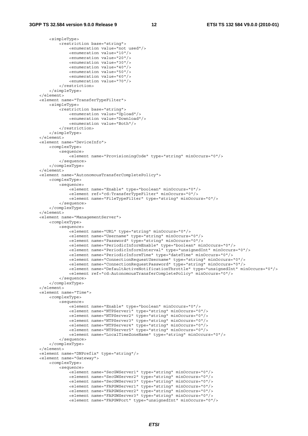<simpleType>

```
 <restriction base="string"> 
                 <enumeration value="not used"/> 
                 <enumeration value="10"/> 
                 <enumeration value="20"/> 
                 <enumeration value="30"/> 
                 <enumeration value="40"/> 
                 <enumeration value="50"/> 
                 <enumeration value="60"/> 
                 <enumeration value="70"/> 
             </restriction> 
         </simpleType> 
    </element> 
    <element name="TransferTypeFilter"> 
         <simpleType> 
             <restriction base="string"> 
                 <enumeration value="Upload"/> 
                 <enumeration value="Download"/> 
                 <enumeration value="Both"/> 
             </restriction> 
         </simpleType> 
    </element> 
    <element name="DeviceInfo"> 
         <complexType> 
             <sequence> 
                 <element name="ProvisioningCode" type="string" minOccurs="0"/> 
             </sequence> 
         </complexType> 
    </element> 
    <element name="AutonomousTransferCompletePolicy"> 
        <complexType> 
             <sequence> 
                .<br><element name="Enable" type="boolean" minOccurs="0"/>
                 <element ref="cd:TransferTypeFilter" minOccurs="0"/> 
                 <element name="FileTypeFilter" type="string" minOccurs="0"/> 
             </sequence> 
         </complexType> 
    </element> 
    <element name="ManagementServer"> 
         <complexType> 
             <sequence> 
                -<br><element name="URL" type="string" minOccurs="0"/>
                 <element name="Username" type="string" minOccurs="0"/> 
                 <element name="Password" type="string" minOccurs="0"/> 
                 <element name="PeriodicInformEnable" type="boolean" minOccurs="0"/> 
                 <element name="PeriodicInformInterval" type="unsignedInt" minOccurs="0"/> 
                 <element name="PeriodicInformTime" type="dateTime" minOccurs="0"/> 
                 <element name="ConnectionRequestUsername" type="string" minOccurs="0"/> 
                 <element name="ConnectionRequestPassword" type="string" minOccurs="0"/> 
                 <element name="DefaultActiveNotificationThrottle" type="unsignedInt" minOccurs="0"/> 
                 <element ref="cd:AutonomousTransferCompletePolicy" minOccurs="0"/> 
             </sequence> 
         </complexType> 
     </element> 
    <element name="Time"> 
        <complexType> 
             <sequence> 
                 <element name="Enable" type="boolean" minOccurs="0"/> 
 <element name="NTPServer1" type="string" minOccurs="0"/> 
 <element name="NTPServer2" type="string" minOccurs="0"/> 
                 <element name="NTPServer3" type="string" minOccurs="0"/> 
                 <element name="NTPServer4" type="string" minOccurs="0"/> 
                 <element name="NTPServer5" type="string" minOccurs="0"/> 
                 <element name="LocalTimeZoneName" type="string" minOccurs="0"/> 
             </sequence> 
         </complexType> 
     </element> 
    <element name="DNPrefix" type="string"/> 
    <element name="Gateway"> 
         <complexType> 
             <sequence> 
                 <element name="SecGWServer1" type="string" minOccurs="0"/> 
                 <element name="SecGWServer2" type="string" minOccurs="0"/> 
 <element name="SecGWServer3" type="string" minOccurs="0"/> 
 <element name="FAPGWServer1" type="string" minOccurs="0"/> 
                 <element name="FAPGWServer2" type="string" minOccurs="0"/> 
                 <element name="FAPGWServer3" type="string" minOccurs="0"/> 
                 <element name="FAPGWPort" type="unsignedInt" minOccurs="0"/>
```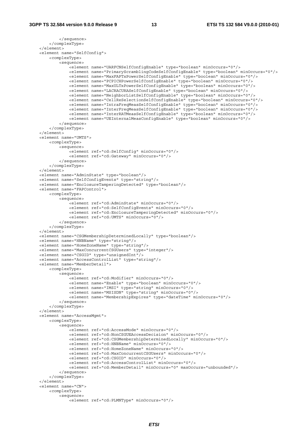```
 </sequence> 
     </complexType> 
 </element> 
 <element name="SelfConfig"> 
     <complexType> 
         <sequence> 
            -<br>-<element name="UARFCNSelfConfigEnable" type="boolean" minOccurs="0"/>
             <element name="PrimaryScramblingCodeSelfConfigEnable" type="boolean" minOccurs="0"/> 
             <element name="MaxFAPTxPowerSelfConfigEnable" type="boolean" minOccurs="0"/> 
              <element name="PCPICHPowerSelfConfigEnable" type="boolean" minOccurs="0"/> 
             <element name="MaxULTxPowerSelfConfigEnable" type="boolean" minOccurs="0"/> 
             <element name="LACRACURASelfConfigEnable" type="boolean" minOccurs="0"/> 
             <element name="NeighborListSelfConfigEnable" type="boolean" minOccurs="0"/> 
              <element name="CellReSelectionSelfConfigEnable" type="boolean" minOccurs="0"/> 
             <element name="IntraFreqMeasSelfConfigEnable" type="boolean" minOccurs="0"/> 
             <element name="InterFreqMeasSelfConfigEnable" type="boolean" minOccurs="0"/> 
             <element name="InterRATMeasSelfConfigEnable" type="boolean" minOccurs="0"/> 
              <element name="UEInternalMeasConfigEnable" type="boolean" minOccurs="0"/> 
         </sequence> 
     </complexType> 
 </element> 
 <element name="UMTS"> 
     <complexType> 
         <sequence> 
            .<br><element ref="cd:SelfConfig" minOccurs="0"/>
              <element ref="cd:Gateway" minOccurs="0"/> 
         </sequence> 
     </complexType> 
 </element> 
 <element name="AdminState" type="boolean"/> 
 <element name="SelfConfigEvents" type="string"/> 
 <element name="EnclosureTamperingDetected" type="boolean"/> 
 <element name="FAPControl"> 
     <complexType> 
         <sequence> 
             <element ref="cd:AdminState" minOccurs="0"/> 
             <element ref="cd:SelfConfigEvents" minOccurs="0"/> 
             <element ref="cd:EnclosureTamperingDetected" minOccurs="0"/> 
             <element ref="cd:UMTS" minOccurs="0"/> 
         </sequence> 
     </complexType> 
 </element> 
 <element name="CSGMembershipDeterminedLocally" type="boolean"/> 
 <element name="HNBName" type="string"/> 
 <element name="HomeZoneName" type="string"/> 
 <element name="MaxConcurrentCSGUsers" type="integer"/> 
 <element name="CSGID" type="unsignedInt"/> 
 <element name="AccessControlList" type="string"/> 
 <element name="MemberDetail"> 
     <complexType> 
         <sequence> 
             <element ref="cd:Modifier" minOccurs="0"/> 
              <element name="Enable" type="boolean" minOccurs="0"/> 
              <element name="IMSI" type="string" minOccurs="0"/> 
             <element name="MSISDN" type="string" minOccurs="0"/> 
             <element name="MembershipExpires" type="dateTime" minOccurs="0"/> 
         </sequence> 
     </complexType> 
 </element> 
 <element name="AccessMgmt"> 
     <complexType> 
         <sequence> 
             <element ref="cd:AccessMode" minOccurs="0"/> 
             <element ref="cd:NonCSGUEAccessDecision" minOccurs="0"/> 
             <element ref="cd:CSGMembershipDeterminedLocally" minOccurs="0"/> 
             <element ref="cd:HNBName" minOccurs="0"/> 
              <element ref="cd:HomeZoneName" minOccurs="0"/> 
             <element ref="cd:MaxConcurrentCSGUsers" minOccurs="0"/> 
             <element ref="cd:CSGID" minOccurs="0"/> 
              <element ref="cd:AccessControlList" minOccurs="0"/> 
              <element ref="cd:MemberDetail" minOccurs="0" maxOccurs="unbounded"/> 
         </sequence> 
     </complexType> 
 </element> 
 <element name="CN"> 
     <complexType> 
         <sequence> 
            .<br><element ref="cd:PLMNType" minOccurs="0"/>
```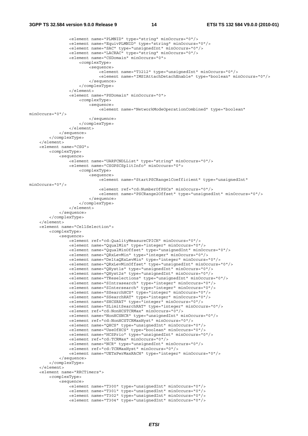#### **3GPP TS 32.584 version 9.0.0 Release 9 14 ETSI TS 132 584 V9.0.0 (2010-01)**

```
 <element name="PLMNID" type="string" minOccurs="0"/> 
                  <element name="EquivPLMNID" type="string" minOccurs="0"/> 
                  <element name="SAC" type="unsignedInt" minOccurs="0"/> 
                  <element name="LACRAC" type="string" minOccurs="0"/> 
                  <element name="CSDomain" minOccurs="0"> 
                      <complexType> 
                          <sequence> 
                              <element name="T3212" type="unsignedInt" minOccurs="0"/> 
                              <element name="IMSIAttachDetachEnable" type="boolean" minOccurs="0"/> 
                          </sequence> 
                      </complexType> 
                  </element> 
                  <element name="PSDomain" minOccurs="0"> 
                      <complexType> 
                          <sequence> 
                             -<br><element name="NetworkModeOperationCombined" type="boolean"
minOrcures=10"/>
                          </sequence> 
                      </complexType> 
                 </element> 
             </sequence> 
         </complexType> 
     </element> 
     <element name="CSG"> 
         <complexType> 
             <sequence> 
                  <element name="UARFCNDLList" type="string" minOccurs="0"/> 
                  <element name="CSGPSCSplitInfo" minOccurs="0"> 
                      <complexType> 
                          <sequence> 
                             _<br><element name="StartPSCRange1Coefficient" type="unsignedInt"
minOccurs="0"/> 
                              <element ref="cd:NumberOfPSCs" minOccurs="0"/> 
                              <element name="PSCRange2Offset" type="unsignedInt" minOccurs="0"/> 
                          </sequence> 
                      </complexType> 
                  </element> 
             </sequence> 
         </complexType> 
     </element> 
     <element name="CellSelection"> 
         <complexType> 
             <sequence> 
                  <element ref="cd:QualityMeasureCPICH" minOccurs="0"/> 
                  <element name="QqualMin" type="integer" minOccurs="0"/> 
                  <element name="QqualMinOffset" type="unsignedInt" minOccurs="0"/> 
                  <element name="QRxLevMin" type="integer" minOccurs="0"/> 
                  <element name="DeltaQRxLevMin" type="integer" minOccurs="0"/> 
                  <element name="QRxLevMinOffset" type="unsignedInt" minOccurs="0"/> 
                  <element name="QHyst1s" type="unsignedInt" minOccurs="0"/> 
                  <element name="QHyst2s" type="unsignedInt" minOccurs="0"/> 
                  <element name="TReselections" type="unsignedInt" minOccurs="0"/> 
                  <element name="SIntrasearch" type="integer" minOccurs="0"/> 
                  <element name="SIntersearch" type="integer" minOccurs="0"/> 
                  <element name="SSearchHCS" type="integer" minOccurs="0"/> 
                  <element name="SSearchRAT" type="integer" minOccurs="0"/> 
                  <element name="SHCSRAT" type="integer" minOccurs="0"/> 
                  <element name="SLimitSearchRAT" type="integer" minOccurs="0"/> 
                  <element ref="cd:NonHCSTCRMax" minOccurs="0"/> 
                  <element name="NonHCSNCR" type="unsignedInt" minOccurs="0"/> 
                  <element ref="cd:NonHCSTCRMaxHyst" minOccurs="0"/> 
                  <element name="QHCS" type="unsignedInt" minOccurs="0"/> 
                  <element name="UseOfHCS" type="boolean" minOccurs="0"/> 
                  <element name="HCSPrio" type="unsignedInt" minOccurs="0"/> 
                  <element ref="cd:TCRMax" minOccurs="0"/> 
                  <element name="NCR" type="unsignedInt" minOccurs="0"/> 
                  <element ref="cd:TCRMaxHyst" minOccurs="0"/> 
                  <element name="UETxPwrMaxRACH" type="integer" minOccurs="0"/> 
             </sequence> 
         </complexType> 
     </element> 
     <element name="RRCTimers"> 
         <complexType> 
             <sequence> 
                  <element name="T300" type="unsignedInt" minOccurs="0"/> 
                  <element name="T301" type="unsignedInt" minOccurs="0"/> 
 <element name="T302" type="unsignedInt" minOccurs="0"/> 
 <element name="T304" type="unsignedInt" minOccurs="0"/>
```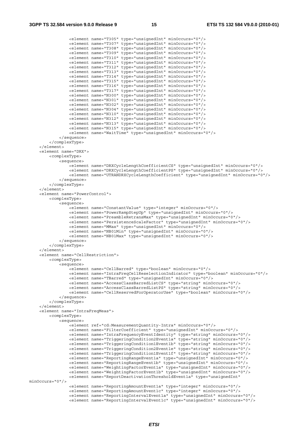<element name="T305" type="unsignedInt" minOccurs="0"/> <element name="T307" type="unsignedInt" minOccurs="0"/> <element name="T308" type="unsignedInt" minOccurs="0"/> <element name="T309" type="unsignedInt" minOccurs="0"/> <element name="T310" type="unsignedInt" minOccurs="0"/> <element name="T311" type="unsignedInt" minOccurs="0"/> <element name="T312" type="unsignedInt" minOccurs="0"/> <element name="T313" type="unsignedInt" minOccurs="0"/> <element name="T314" type="unsignedInt" minOccurs="0"/> <element name="T315" type="unsignedInt" minOccurs="0"/> <element name="T316" type="unsignedInt" minOccurs="0"/> <element name="T317" type="unsignedInt" minOccurs="0"/> <element name="N300" type="unsignedInt" minOccurs="0"/> <element name="N301" type="unsignedInt" minOccurs="0"/> <element name="N302" type="unsignedInt" minOccurs="0"/> <element name="N304" type="unsignedInt" minOccurs="0"/> <element name="N310" type="unsignedInt" minOccurs="0"/> <element name="N312" type="unsignedInt" minOccurs="0"/> <element name="N313" type="unsignedInt" minOccurs="0"/> <element name="N315" type="unsignedInt" minOccurs="0"/> <element name="WaitTime" type="unsignedInt" minOccurs="0"/> </sequence> </complexType> </element> <element name="DRX"> <complexType> <sequence> <element name="DRXCycleLengthCoefficientCS" type="unsignedInt" minOccurs="0"/> <element name="DRXCycleLengthCoefficientPS" type="unsignedInt" minOccurs="0"/> <element name="UTRANDRXCycleLengthCoefficient" type="unsignedInt" minOccurs="0"/> </sequence> </complexType> </element> <element name="PowerControl"> <complexType> <sequence> <element name="ConstantValue" type="integer" minOccurs="0"/> <element name="PowerRampStepUp" type="unsignedInt" minOccurs="0"/> <element name="PreambleRetransMax" type="unsignedInt" minOccurs="0"/> <element name="PersistenceScaleFactor" type="unsignedInt" minOccurs="0"/> <element name="MMax" type="unsignedInt" minOccurs="0"/> <element name="NB01Min" type="unsignedInt" minOccurs="0"/> <element name="NB01Max" type="unsignedInt" minOccurs="0"/> </sequence> </complexType> </element> <element name="CellRestriction"> <complexType> <sequence> .<br><element name="CellBarred" type="boolean" minOccurs="0"/> <element name="IntraFreqCellReselectionIndicator" type="boolean" minOccurs="0"/> <element name="TBarred" type="unsignedInt" minOccurs="0"/> <element name="AccessClassBarredListCS" type="string" minOccurs="0"/> <element name="AccessClassBarredListPS" type="string" minOccurs="0"/> <element name="CellReservedForOperatorUse" type="boolean" minOccurs="0"/> </sequence> </complexType> </element> <element name="IntraFreqMeas"> <complexType> <sequence> <element ref="cd:MeasurementQuantity-Intra" minOccurs="0"/> <element name="FilterCoefficient" type="unsignedInt" minOccurs="0"/> <element name="IntraFrequencyEventIdentity" type="string" minOccurs="0"/> <element name="TriggeringCondition2Event1a" type="string" minOccurs="0"/> <element name="TriggeringCondition1Event1b" type="string" minOccurs="0"/> <element name="TriggeringCondition2Event1e" type="string" minOccurs="0"/> <element name="TriggeringCondition1Event1f" type="string" minOccurs="0"/> <element name="ReportingRangeEvent1a" type="unsignedInt" minOccurs="0"/> <element name="ReportingRangeEvent1b" type="unsignedInt" minOccurs="0"/> <element name="WeightingFactorEvent1a" type="unsignedInt" minOccurs="0"/> <element name="WeightingFactorEvent1b" type="unsignedInt" minOccurs="0"/> <element name="ReportDeactivationThresholdEvent1a" type="unsignedInt" minOccurs="0"/> <element name="ReportingAmountEvent1a" type="integer" minOccurs="0"/> <element name="ReportingAmountEvent1c" type="integer" minOccurs="0"/> <element name="ReportingIntervalEvent1a" type="unsignedInt" minOccurs="0"/> <element name="ReportingIntervalEvent1c" type="unsignedInt" minOccurs="0"/>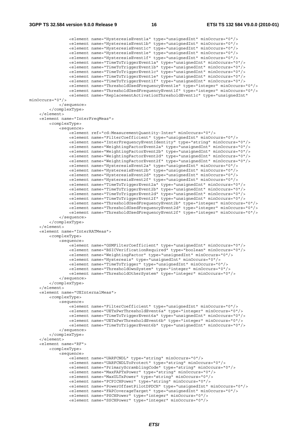<element name="HysteresisEvent1a" type="unsignedInt" minOccurs="0"/> <element name="HysteresisEvent1b" type="unsignedInt" minOccurs="0"/> <element name="HysteresisEvent1c" type="unsignedInt" minOccurs="0"/> <element name="HysteresisEvent1e" type="unsignedInt" minOccurs="0"/> <element name="HysteresisEvent1f" type="unsignedInt" minOccurs="0"/> <element name="TimeToTriggerEvent1a" type="unsignedInt" minOccurs="0"/> <element name="TimeToTriggerEvent1b" type="unsignedInt" minOccurs="0"/> <element name="TimeToTriggerEvent1c" type="unsignedInt" minOccurs="0"/> <element name="TimeToTriggerEvent1e" type="unsignedInt" minOccurs="0"/> <element name="TimeToTriggerEvent1f" type="unsignedInt" minOccurs="0"/> <element name="ThresholdUsedFrequencyEvent1e" type="integer" minOccurs="0"/> <element name="ThresholdUsedFrequencyEvent1f" type="integer" minOccurs="0"/> <element name="ReplacementActivationThresholdEvent1c" type="unsignedInt" minOccurs="0"/> </sequence> </complexType> </element> <element name="InterFreqMeas"> <complexType> <sequence> <element ref="cd:MeasurementQuantity-Inter" minOccurs="0"/> <element name="FilterCoefficient" type="unsignedInt" minOccurs="0"/> <element name="InterFrequencyEventIdentity" type="string" minOccurs="0"/> <element name="WeightingFactorEvent2a" type="unsignedInt" minOccurs="0"/> <element name="WeightingFactorEvent2b" type="unsignedInt" minOccurs="0"/> <element name="WeightingFactorEvent2d" type="unsignedInt" minOccurs="0"/> <element name="WeightingFactorEvent2f" type="unsignedInt" minOccurs="0"/> <element name="HysteresisEvent2a" type="unsignedInt" minOccurs="0"/> <element name="HysteresisEvent2b" type="unsignedInt" minOccurs="0"/> <element name="HysteresisEvent2d" type="unsignedInt" minOccurs="0"/> <element name="HysteresisEvent2f" type="unsignedInt" minOccurs="0"/> <element name="TimeToTriggerEvent2a" type="unsignedInt" minOccurs="0"/> <element name="TimeToTriggerEvent2b" type="unsignedInt" minOccurs="0"/> <element name="TimeToTriggerEvent2d" type="unsignedInt" minOccurs="0"/> <element name="TimeToTriggerEvent2f" type="unsignedInt" minOccurs="0"/> <element name="ThresholdUsedFrequencyEvent2b" type="integer" minOccurs="0"/> <element name="ThresholdUsedFrequencyEvent2d" type="integer" minOccurs="0"/> <element name="ThresholdUsedFrequencyEvent2f" type="integer" minOccurs="0"/> </sequence> </complexType> </element> <element name="InterRATMeas"> <complexType> <sequence> <element name="GSMFilterCoefficient" type="unsignedInt" minOccurs="0"/> <element name="BSICVerificationRequired" type="boolean" minOccurs="0"/> <element name="WeightingFactor" type="unsignedInt" minOccurs="0"/> <element name="Hysteresis" type="unsignedInt" minOccurs="0"/> <element name="TimeToTrigger" type="unsignedInt" minOccurs="0"/> <element name="ThresholdOwnSystem" type="integer" minOccurs="0"/> <element name="ThresholdOtherSystem" type="integer" minOccurs="0"/> </sequence> </complexType> </element> <element name="UEInternalMeas"> <complexType> <sequence> <element name="FilterCoefficient" type="unsignedInt" minOccurs="0"/> <element name="UETxPwrThresholdEvent6a" type="integer" minOccurs="0"/> <element name="TimeToTriggerEvent6a" type="unsignedInt" minOccurs="0"/> <element name="UETxPwrThresholdEvent6b" type="integer" minOccurs="0"/> <element name="TimeToTriggerEvent6b" type="unsignedInt" minOccurs="0"/> </sequence> </complexType>  $\epsilon$ /elements <element name="RF"> <complexType> <sequence> <element name="UARFCNDL" type="string" minOccurs="0"/> <element name="UARFCNDLToProtect" type="string" minOccurs="0"/> <element name="PrimaryScramblingCode" type="string" minOccurs="0"/> <element name="MaxFAPTxPower" type="string" minOccurs="0"/> <element name="MaxULTxPower" type="string" minOccurs="0"/> <element name="PCPICHPower" type="string" minOccurs="0"/> <element name="PowerOffsetPilotDPDCH" type="unsignedInt" minOccurs="0"/> <element name="FAPCoverageTarget" type="unsignedInt" minOccurs="0"/> <element name="PSCHPower" type="integer" minOccurs="0"/>

<element name="SSCHPower" type="integer" minOccurs="0"/>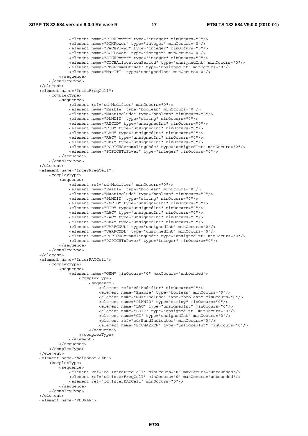```
 <element name="PICHPower" type="integer" minOccurs="0"/> 
                 <element name="PCHPower" type="integer" minOccurs="0"/> 
                 <element name="FACHPower" type="integer" minOccurs="0"/> 
 <element name="BCHPower" type="integer" minOccurs="0"/> 
 <element name="AICHPower" type="integer" minOccurs="0"/> 
                 <element name="CTCHAllocationPeriod" type="unsignedInt" minOccurs="0"/> 
                 <element name="CBSFrameOffset" type="unsignedInt" minOccurs="0"/> 
                 <element name="MaxTTI" type="unsignedInt" minOccurs="0"/> 
             </sequence> 
         </complexType> 
    </element> 
    <element name="IntraFreqCell"> 
         <complexType> 
             <sequence> 
                 <element ref="cd:Modifier" minOccurs="0"/> 
                 <element name="Enable" type="boolean" minOccurs="0"/> 
                 <element name="MustInclude" type="boolean" minOccurs="0"/> 
                 <element name="PLMNID" type="string" minOccurs="0"/> 
                 <element name="RNCID" type="unsignedInt" minOccurs="0"/> 
                 <element name="CID" type="unsignedInt" minOccurs="0"/> 
                 <element name="LAC" type="unsignedInt" minOccurs="0"/> 
                 <element name="RAC" type="unsignedInt" minOccurs="0"/> 
                 <element name="URA" type="unsignedInt" minOccurs="0"/> 
                 <element name="PCPICHScramblingCode" type="unsignedInt" minOccurs="0"/> 
                 <element name="PCPICHTxPower" type="integer" minOccurs="0"/> 
             </sequence> 
         </complexType> 
     </element> 
    <element name="InterFreqCell"> 
         <complexType> 
             <sequence> 
                 <element ref="cd:Modifier" minOccurs="0"/> 
                 <element name="Enable" type="boolean" minOccurs="0"/> 
                 <element name="MustInclude" type="boolean" minOccurs="0"/> 
                 <element name="PLMNID" type="string" minOccurs="0"/> 
                 <element name="RNCID" type="unsignedInt" minOccurs="0"/> 
                 <element name="CID" type="unsignedInt" minOccurs="0"/> 
                 <element name="LAC" type="unsignedInt" minOccurs="0"/> 
                 <element name="RAC" type="unsignedInt" minOccurs="0"/> 
                 <element name="URA" type="unsignedInt" minOccurs="0"/> 
                 <element name="UARFCNUL" type="unsignedInt" minOccurs="0"/> 
                 <element name="UARFCNDL" type="unsignedInt" minOccurs="0"/> 
                 <element name="PCPICHScramblingCode" type="unsignedInt" minOccurs="0"/> 
                 <element name="PCPICHTxPower" type="integer" minOccurs="0"/> 
             </sequence> 
         </complexType> 
    </element> 
     <element name="InterRATCell"> 
         <complexType> 
             <sequence> 
                 <element name="GSM" minOccurs="0" maxOccurs="unbounded"> 
                     <complexType> 
                         <sequence> 
                              <element ref="cd:Modifier" minOccurs="0"/> 
                              <element name="Enable" type="boolean" minOccurs="0"/> 
                              <element name="MustInclude" type="boolean" minOccurs="0"/> 
                              <element name="PLMNID" type="string" minOccurs="0"/> 
                              <element name="LAC" type="unsignedInt" minOccurs="0"/> 
                              <element name="BSIC" type="unsignedInt" minOccurs="0"/> 
                              <element name="CI" type="unsignedInt" minOccurs="0"/> 
                              <element ref="cd:BandIndicator" minOccurs="0"/> 
                              <element name="BCCHARFCN" type="unsignedInt" minOccurs="0"/> 
                         </sequence> 
                      </complexType> 
                 </element> 
             </sequence> 
         </complexType> 
    </element> 
    <element name="NeighborList"> 
         <complexType> 
             <sequence> 
                .<br><element ref="cd:IntraFreqCell" minOccurs="0" maxOccurs="unbounded"/>
                 <element ref="cd:InterFreqCell" minOccurs="0" maxOccurs="unbounded"/> 
                 <element ref="cd:InterRATCell" minOccurs="0"/> 
             </sequence> 
         </complexType> 
     </element> 
     <element name="FDDFAP">
```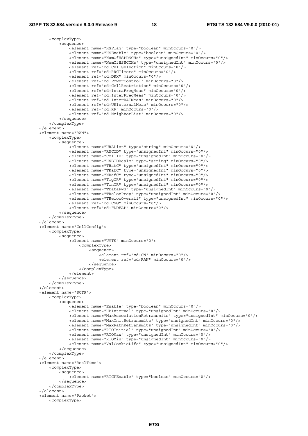```
 <complexType> 
             <sequence> 
                .<br><element name="HSFlag" type="boolean" minOccurs="0"/>
                 <element name="HSEnable" type="boolean" minOccurs="0"/> 
                 <element name="NumOfHSPDSCHs" type="unsignedInt" minOccurs="0"/> 
                 <element name="NumOfHSSCCHs" type="unsignedInt" minOccurs="0"/> 
                 <element ref="cd:CellSelection" minOccurs="0"/> 
                 <element ref="cd:RRCTimers" minOccurs="0"/> 
                 <element ref="cd:DRX" minOccurs="0"/> 
                 <element ref="cd:PowerControl" minOccurs="0"/> 
                 <element ref="cd:CellRestriction" minOccurs="0"/> 
                 <element ref="cd:IntraFreqMeas" minOccurs="0"/> 
                 <element ref="cd:InterFreqMeas" minOccurs="0"/> 
                 <element ref="cd:InterRATMeas" minOccurs="0"/> 
                 <element ref="cd:UEInternalMeas" minOccurs="0"/> 
                 <element ref="cd:RF" minOccurs="0"/> 
                 <element ref="cd:NeighborList" minOccurs="0"/> 
             </sequence> 
         </complexType> 
    </element> 
    <element name="RAN"> 
         <complexType> 
             <sequence> 
                 <element name="URAList" type="string" minOccurs="0"/> 
                 <element name="RNCID" type="unsignedInt" minOccurs="0"/> 
                 <element name="CellID" type="unsignedInt" minOccurs="0"/> 
                 <element name="HNBIDRealm" type="string" minOccurs="0"/> 
                 <element name="TRatC" type="unsignedInt" minOccurs="0"/> 
                 <element name="TRafC" type="unsignedInt" minOccurs="0"/> 
 <element name="NRafC" type="unsignedInt" minOccurs="0"/> 
 <element name="TigOR" type="unsignedInt" minOccurs="0"/> 
                 <element name="TinTR" type="unsignedInt" minOccurs="0"/> 
                 <element name="TDataFwd" type="unsignedInt" minOccurs="0"/> 
                 <element name="TRelocPrep" type="unsignedInt" minOccurs="0"/> 
                 <element name="TRelocOverall" type="unsignedInt" minOccurs="0"/> 
                 <element ref="cd:CSG" minOccurs="0"/> 
                 <element ref="cd:FDDFAP" minOccurs="0"/> 
             </sequence> 
         </complexType> 
    </element> 
    <element name="CellConfig"> 
        <complexType> 
             <sequence> 
                 <element name="UMTS" minOccurs="0"> 
                     <complexType> 
                         <sequence> 
                             <element ref="cd:CN" minOccurs="0"/> 
                             <element ref="cd:RAN" minOccurs="0"/> 
                         </sequence> 
                     </complexType> 
                 </element> 
             </sequence> 
         </complexType> 
    </element> 
    <element name="SCTP"> 
         <complexType> 
             <sequence> 
                 <element name="Enable" type="boolean" minOccurs="0"/> 
                 <element name="HBInterval" type="unsignedInt" minOccurs="0"/> 
                 <element name="MaxAssociationRetransmits" type="unsignedInt" minOccurs="0"/> 
 <element name="MaxInitRetransmits" type="unsignedInt" minOccurs="0"/> 
 <element name="MaxPathRetransmits" type="unsignedInt" minOccurs="0"/> 
                 <element name="RTOInitial" type="unsignedInt" minOccurs="0"/> 
 <element name="RTOMax" type="unsignedInt" minOccurs="0"/> 
 <element name="RTOMin" type="unsignedInt" minOccurs="0"/> 
                 <element name="ValCookieLife" type="unsignedInt" minOccurs="0"/> 
             </sequence> 
         </complexType> 
    </element> 
    <element name="RealTime"> 
         <complexType> 
             <sequence> 
                -<br><element name="RTCPEnable" type="boolean" minOccurs="0"/>
            </sequence> 
         </complexType> 
    </element> 
    <element name="Packet"> 
        <complexType>
```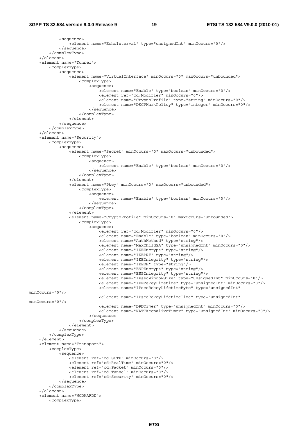#### **3GPP TS 32.584 version 9.0.0 Release 9 19 ETSI TS 132 584 V9.0.0 (2010-01)**

```
 <sequence> 
                 .<br><element name="EchoInterval" type="unsignedInt" minOccurs="0"/>
              </sequence> 
         </complexType> 
     </element> 
     <element name="Tunnel"> 
         <complexType> 
              <sequence> 
                 .<br><element name="VirtualInterface" minOccurs="0" maxOccurs="unbounded">
                      <complexType> 
                           <sequence> 
                               <element name="Enable" type="boolean" minOccurs="0"/> 
                               <element ref="cd:Modifier" minOccurs="0"/> 
                               <element name="CryptoProfile" type="string" minOccurs="0"/> 
                               <element name="DSCPMarkPolicy" type="integer" minOccurs="0"/> 
                           </sequence> 
                       </complexType> 
                  </element> 
              </sequence> 
         </complexType> 
     </element> 
     <element name="Security"> 
         <complexType> 
              <sequence> 
                  <element name="Secret" minOccurs="0" maxOccurs="unbounded"> 
                      <complexType> 
                           <sequence> 
                               <element name="Enable" type="boolean" minOccurs="0"/> 
                           </sequence> 
                       </complexType> 
                  </element> 
                  <element name="Pkey" minOccurs="0" maxOccurs="unbounded"> 
                      <complexType> 
                           <sequence> 
                               <element name="Enable" type="boolean" minOccurs="0"/> 
                           </sequence> 
                       </complexType> 
                  </element> 
                  <element name="CryptoProfile" minOccurs="0" maxOccurs="unbounded"> 
                       <complexType> 
                           <sequence> 
                              .<br><element ref="cd:Modifier" minOccurs="0"/>
                               <element name="Enable" type="boolean" minOccurs="0"/> 
                               <element name="AuthMethod" type="string"/> 
                               <element name="MaxChildSA" type="unsignedInt" minOccurs="0"/> 
                               <element name="IKEEncrypt" type="string"/> 
                               <element name="IKEPRF" type="string"/> 
                               <element name="IKEIntegrity" type="string"/> 
                               <element name="IKEDH" type="string"/> 
                               <element name="ESPEncrypt" type="string"/> 
                               <element name="ESPIntegrity" type="string"/> 
                               <element name="IPsecWindowSize" type="unsignedInt" minOccurs="0"/> 
                               <element name="IKERekeyLifetime" type="unsignedInt" minOccurs="0"/> 
                               <element name="IPsecRekeyLifetimeByte" type="unsignedInt" 
minOccurs="0"/> 
                               <element name="IPsecRekeyLifetimeTime" type="unsignedInt" 
minOccurs="0"/> 
                               <element name="DPDTimer" type="unsignedInt" minOccurs="0"/> 
                               <element name="NATTKeepaliveTimer" type="unsignedInt" minOccurs="0"/> 
                           </sequence> 
                       </complexType> 
                  </element> 
              </sequence> 
         </complexType> 
    \epsilon/element>
     <element name="Transport"> 
         <complexType> 
              <sequence> 
                  <element ref="cd:SCTP" minOccurs="0"/> 
                  <element ref="cd:RealTime" minOccurs="0"/> 
                  <element ref="cd:Packet" minOccurs="0"/> 
                  <element ref="cd:Tunnel" minOccurs="0"/> 
                  <element ref="cd:Security" minOccurs="0"/> 
              </sequence> 
          </complexType> 
     </element> 
     <element name="WCDMAFDD"> 
         <complexType>
```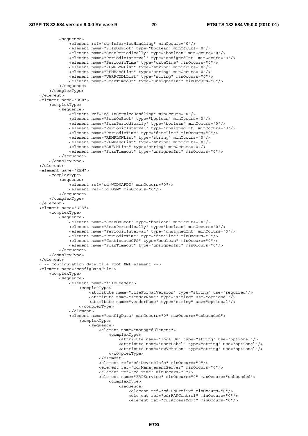<sequence> .<br><element ref="cd:InServiceHandling" minOccurs="0"/> <element name="ScanOnBoot" type="boolean" minOccurs="0"/> <element name="ScanPeriodically" type="boolean" minOccurs="0"/> <element name="PeriodicInterval" type="unsignedInt" minOccurs="0"/> <element name="PeriodicTime" type="dateTime" minOccurs="0"/> <element name="REMPLMNList" type="string" minOccurs="0"/> <element name="REMBandList" type="string" minOccurs="0"/> <element name="UARFCNDLList" type="string" minOccurs="0"/> <element name="ScanTimeout" type="unsignedInt" minOccurs="0"/> </sequence> </complexType> </element> <element name="GSM"> <complexType> <sequence> <element ref="cd:InServiceHandling" minOccurs="0"/> <element name="ScanOnBoot" type="boolean" minOccurs="0"/> <element name="ScanPeriodically" type="boolean" minOccurs="0"/> <element name="PeriodicInterval" type="unsignedInt" minOccurs="0"/> <element name="PeriodicTime" type="dateTime" minOccurs="0"/> <element name="REMPLMNList" type="string" minOccurs="0"/> <element name="REMBandList" type="string" minOccurs="0"/> <element name="ARFCNList" type="string" minOccurs="0"/> <element name="ScanTimeout" type="unsignedInt" minOccurs="0"/> </sequence> </complexType> </element> <element name="REM"> <complexType> <sequence> <element ref="cd:WCDMAFDD" minOccurs="0"/> <element ref="cd:GSM" minOccurs="0"/> </sequence> </complexType> </element> <element name="GPS"> <complexType> <sequence> <element name="ScanOnBoot" type="boolean" minOccurs="0"/> <element name="ScanPeriodically" type="boolean" minOccurs="0"/> <element name="PeriodicInterval" type="unsignedInt" minOccurs="0"/> <element name="PeriodicTime" type="dateTime" minOccurs="0"/> <element name="ContinuousGPS" type="boolean" minOccurs="0"/> <element name="ScanTimeout" type="unsignedInt" minOccurs="0"/> </sequence> </complexType> </element> <!-- Configuration data file root XML element --> <element name="configDataFile"> <complexType> <sequence> <element name="fileHeader"> <complexType> <attribute name="fileFormatVersion" type="string" use="required"/> <attribute name="senderName" type="string" use="optional"/> <attribute name="vendorName" type="string" use="optional"/> </complexType> </element> <element name="configData" minOccurs="0" maxOccurs="unbounded"> <complexType> <sequence> <element name="managedElement"> <complexType> <attribute name="localDn" type="string" use="optional"/> <attribute name="userLabel" type="string" use="optional"/> <attribute name="swVersion" type="string" use="optional"/> </complexType> </element> <element ref="cd:DeviceInfo" minOccurs="0"/> <element ref="cd:ManagementServer" minOccurs="0"/> <element ref="cd:Time" minOccurs="0"/> <element name="FAPService" minOccurs="0" maxOccurs="unbounded"> <complexType> <sequence> -<br><element ref="cd:DNPrefix" minOccurs="0"/> <element ref="cd:FAPControl" minOccurs="0"/>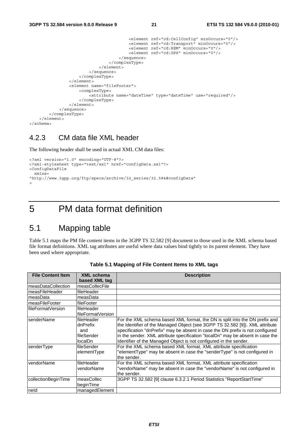```
 <element ref="cd:CellConfig" minOccurs="0"/> 
                                         <element ref="cd:Transport" minOccurs="0"/> 
                                         <element ref="cd:REM" minOccurs="0"/> 
                                         <element ref="cd:GPS" minOccurs="0"/> 
                                     </sequence> 
                                </complexType> 
                           </element> 
                       </sequence> 
                   </complexType> 
              </element> 
              <element name="fileFooter"> 
                  <complexType> 
                       <attribute name="dateTime" type="dateTime" use="required"/> 
                   </complexType> 
              </element> 
         </sequence> 
     </complexType> 
\epsilon/element>
```

```
</schema>
```
### 4.2.3 CM data file XML header

The following header shall be used in actual XML CM data files:

```
<?xml version="1.0" encoding="UTF-8"?> 
<?xml-stylesheet type="text/xsl" href="configData.xsl"?> 
<ConfigDataFile 
  xmlns= 
"http://www.3gpp.org/ftp/specs/archive/32_series/32.584#configData" 
>
```
### 5 PM data format definition

### 5.1 Mapping table

Table 5.1 maps the PM file content items in the 3GPP TS 32.582 [9] document to those used in the XML schema based file format definitions. XML tag attributes are useful where data values bind tightly to its parent element. They have been used where appropriate.

| <b>File Content Item</b> | <b>XML</b> schema<br>based XML tag                     | <b>Description</b>                                                                                                                                                                                                                                                                                                                                                                                   |
|--------------------------|--------------------------------------------------------|------------------------------------------------------------------------------------------------------------------------------------------------------------------------------------------------------------------------------------------------------------------------------------------------------------------------------------------------------------------------------------------------------|
| measDataCollection       | measCollecFile                                         |                                                                                                                                                                                                                                                                                                                                                                                                      |
| <b>ImeasFileHeader</b>   | fileHeader                                             |                                                                                                                                                                                                                                                                                                                                                                                                      |
| ImeasData                | measData                                               |                                                                                                                                                                                                                                                                                                                                                                                                      |
| ImeasFileFooter          | <b>IfileFooter</b>                                     |                                                                                                                                                                                                                                                                                                                                                                                                      |
| lfileFormatVersion       | fileHeader<br>fileFormatVersion                        |                                                                                                                                                                                                                                                                                                                                                                                                      |
| <b>IsenderName</b>       | fileHeader<br>dnPrefix<br>and<br>fileSender<br>localDn | For the XML schema based XML format, the DN is split into the DN prefix and<br>the Identifier of the Managed Object (see 3GPP TS 32.582 [9]). XML attribute<br>specification "dnPrefix" may be absent in case the DN prefix is not configured<br>in the sender. XML attribute specification "localDn" may be absent in case the<br>Identifier of the Managed Object is not configured in the sender. |
| senderType               | fileSender<br>elementType                              | For the XML schema based XML format, XML attribute specification<br>"elementType" may be absent in case the "senderType" is not configured in<br>the sender.                                                                                                                                                                                                                                         |
| <u>lvendorName</u>       | fileHeader<br>vendorName                               | For the XML schema based XML format, XML attribute specification<br>"vendorName" may be absent in case the "vendorName" is not configured in<br>the sender.                                                                                                                                                                                                                                          |
| collectionBeginTime      | measCollec<br>beginTime                                | 3GPP TS 32.582 [9] clause 6.3.2.1 Period Statistics "ReportStartTime"                                                                                                                                                                                                                                                                                                                                |
| neld                     | managedElement                                         |                                                                                                                                                                                                                                                                                                                                                                                                      |

**Table 5.1 Mapping of File Content Items to XML tags**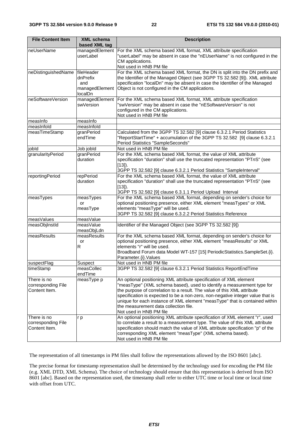| <b>File Content Item</b>                           | <b>XML schema</b><br>based XML tag                         | <b>Description</b>                                                                                                                                                                                                                                                                                                                                                                                                                                           |
|----------------------------------------------------|------------------------------------------------------------|--------------------------------------------------------------------------------------------------------------------------------------------------------------------------------------------------------------------------------------------------------------------------------------------------------------------------------------------------------------------------------------------------------------------------------------------------------------|
| neUserName                                         | managedElement<br>userLabel                                | For the XML schema based XML format, XML attribute specification<br>"userLabel" may be absent in case the "nEUserName" is not configured in the<br>CM applications.<br>Not used in HNB PM file                                                                                                                                                                                                                                                               |
| neDistinguishedName                                | fileHeader<br>dnPrefix<br>and<br>managedElement<br>localDn | For the XML schema based XML format, the DN is split into the DN prefix and<br>the Identifier of the Managed Object (see 3GPP TS 32.582 [9]). XML attribute<br>specification "localDn" may be absent in case the Identifier of the Managed<br>Object is not configured in the CM applications.                                                                                                                                                               |
| neSoftwareVersion                                  | managedElement<br>swVersion                                | For the XML schema based XML format, XML attribute specification<br>"swVersion" may be absent in case the "nESoftwareVersion" is not<br>configured in the CM applications.<br>Not used in HNB PM file                                                                                                                                                                                                                                                        |
| measInfo                                           | measInfo                                                   |                                                                                                                                                                                                                                                                                                                                                                                                                                                              |
| measInfold                                         | measInfold                                                 |                                                                                                                                                                                                                                                                                                                                                                                                                                                              |
| measTimeStamp                                      | granPeriod<br>endTime                                      | Calculated from the 3GPP TS 32.582 [9] clause 6.3.2.1 Period Statistics<br>"ReportStartTime" + accumulation of the 3GPP TS 32.582 [9] clause 6.3.2.1<br>Period Statistics "SampleSeconds"                                                                                                                                                                                                                                                                    |
| jobld                                              | Job jobld                                                  | Not used in HNB PM file                                                                                                                                                                                                                                                                                                                                                                                                                                      |
| granularityPeriod                                  | granPeriod<br>duration                                     | For the XML schema based XML format, the value of XML attribute<br>specification "duration" shall use the truncated representation "PTnS" (see<br>$[13]$ ).<br>3GPP TS 32.582 [9] clause 6.3.2.1 Period Statistics "SampleInterval"                                                                                                                                                                                                                          |
| reportingPeriod                                    | repPeriod<br>duration                                      | For the XML schema based XML format, the value of XML attribute<br>specification "duration" shall use the truncated representation "PTnS" (see<br>$[13]$ ).<br>3GPP TS 32.582 [9] clause 6.3.1.1 Period Upload Interval                                                                                                                                                                                                                                      |
| measTypes                                          | measTypes<br>or<br>measType                                | For the XML schema based XML format, depending on sender's choice for<br>optional positioning presence, either XML element "measTypes" or XML<br>elements "measType" will be used.<br>3GPP TS 32.582 [9] clause 6.3.2.2 Period Statistics Reference                                                                                                                                                                                                          |
| measValues                                         | measValue                                                  |                                                                                                                                                                                                                                                                                                                                                                                                                                                              |
| measObjInstId                                      | measValue<br>measObjLdn                                    | Identifier of the Managed Object (see 3GPP TS 32.582 [9])                                                                                                                                                                                                                                                                                                                                                                                                    |
| measResults                                        | measResults<br>or<br>R.                                    | For the XML schema based XML format, depending on sender's choice for<br>optional positioning presence, either XML element "measResults" or XML<br>elements "r" will be used.<br>Broadband Forum data Model WT-157 [15] PeriodicStatistics.SampleSet.{i}.<br>Parameter.{i}.Values                                                                                                                                                                            |
| suspectFlag                                        | Suspect                                                    | Not used in HNB PM file                                                                                                                                                                                                                                                                                                                                                                                                                                      |
| timeStamp                                          | measCollec<br>endTime                                      | 3GPP TS 32.582 [9] clause 6.3.2.1 Period Statistics ReportEndTime                                                                                                                                                                                                                                                                                                                                                                                            |
| There is no<br>corresponding File<br>Content Item. | measType p                                                 | An optional positioning XML attribute specification of XML element<br>"measType" (XML schema based), used to identify a measurement type for<br>the purpose of correlation to a result. The value of this XML attribute<br>specification is expected to be a non-zero, non-negative integer value that is<br>unique for each instance of XML element "measType" that is contained within<br>the measurement data collection file.<br>Not used in HNB PM file |
| There is no<br>corresponding File<br>Content Item. | r p                                                        | An optional positioning XML attribute specification of XML element "r", used<br>to correlate a result to a measurement type. The value of this XML attribute<br>specification should match the value of XML attribute specification "p" of the<br>corresponding XML element "measType" (XML schema based).<br>Not used in HNB PM file                                                                                                                        |

The representation of all timestamps in PM files shall follow the representations allowed by the ISO 8601 [abc].

The precise format for timestamp representation shall be determined by the technology used for encoding the PM file (e.g. XML DTD, XML Schema). The choice of technology should ensure that this representation is derived from ISO 8601 [abc]. Based on the representation used, the timestamp shall refer to either UTC time or local time or local time with offset from UTC.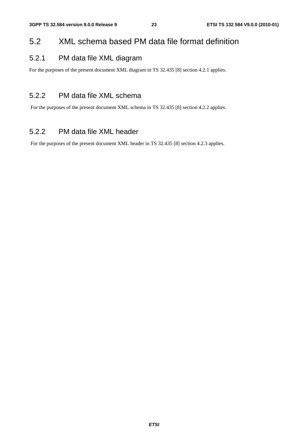### 5.2 XML schema based PM data file format definition

#### 5.2.1 PM data file XML diagram

For the purposes of the present document XML diagram in TS 32.435 [8] section 4.2.1 applies.

#### 5.2.2 PM data file XML schema

For the purposes of the present document XML schema in TS 32.435 [8] section 4.2.2 applies.

### 5.2.2 PM data file XML header

For the purposes of the present document XML header in TS 32.435 [8] section 4.2.3 applies.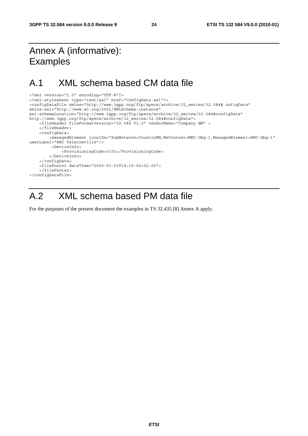### Annex A (informative): Examples

### A.1 XML schema based CM data file

```
<?xml version="1.0" encoding="UTF-8"?> 
<?xml-stylesheet type="text/xsl" href="ConfigData.xsl"?> 
<configDataFile xmlns="http://www.3gpp.org/ftp/specs/archive/32_series/32.584# onfigData" 
xmlns:xsi="http://www.w3.org/2001/XMLSchema-instance" 
xsi:schemaLocation="http://www.3gpp.org/ftp/specs/archive/32_series/32.584#configData" 
http://www.3gpp.org/ftp/specs/archive/32_series/32.584#configData"> 
     <fileHeader fileFormatVersion="32.584 V1.0" vendorName="Company NN" > 
     </fileHeader> 
     <configData> 
         <managedElement localDn="SubNetwork=CountryNN,MeContext=MEC-Gbg-1,ManagedElement=RNC-Gbg-1" 
userLabel="RNC Telecomville"/> 
          <DeviceInfo> 
              <ProvisioningCode>0101</ProvisioningCode> 
         </DeviceInfo> 
     </configData> 
     <fileFooter dateTime="2000-03-01T14:15:00+02:00"> 
     </fileFooter> 
</configDataFile>
```
### A.2 XML schema based PM data file

For the purposes of the present document the examples in TS 32.435 [8] Annex A apply.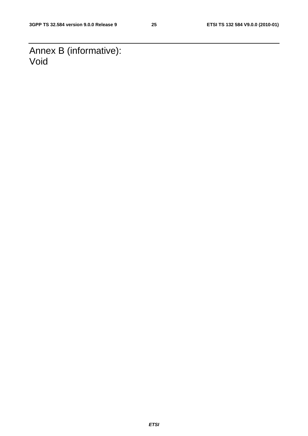Annex B (informative): Void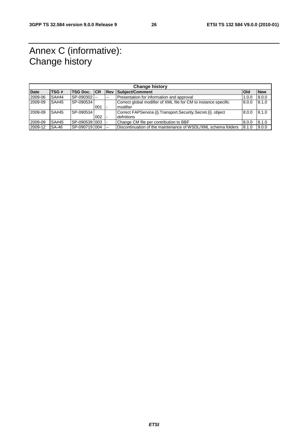### Annex C (informative): Change history

| <b>Change history</b> |       |                     |     |            |                                                                   |              |            |
|-----------------------|-------|---------------------|-----|------------|-------------------------------------------------------------------|--------------|------------|
| <b>Date</b>           | TSG#  | <b>TSG Doc. ICR</b> |     | <b>Rev</b> | Subject/Comment                                                   | <b>l</b> Old | <b>New</b> |
| 2009-06               | SA#44 | SP-090302           |     | $\sim$     | Presentation for information and approval                         | 1.0.0        | 8.0.0      |
| 2009-09               | SA#45 | SP-090534           |     |            | Correct global modifier of XML file for CM to instance specific   | 8.0.0        | 8.1.0      |
|                       |       |                     | 001 |            | modifier                                                          |              |            |
| 2009-09               | SA#45 | SP-090534           |     |            | Correct FAPService. (i). Transport. Security. Secret. (i). object | 8.0.0        | 8.1.0      |
|                       |       |                     | 002 |            | defnitions                                                        |              |            |
| 2009-09               | SA#45 | SP-090539 003       |     |            | Change CM file per contribution to BBF                            | 8.0.0        | 8.1.0      |
| 2009-12               | SA-46 | SP-090719 004       |     |            | Discontinuation of the maintenance of WSDL/XML schema folders     | 8.1.0        | 9.0.0      |